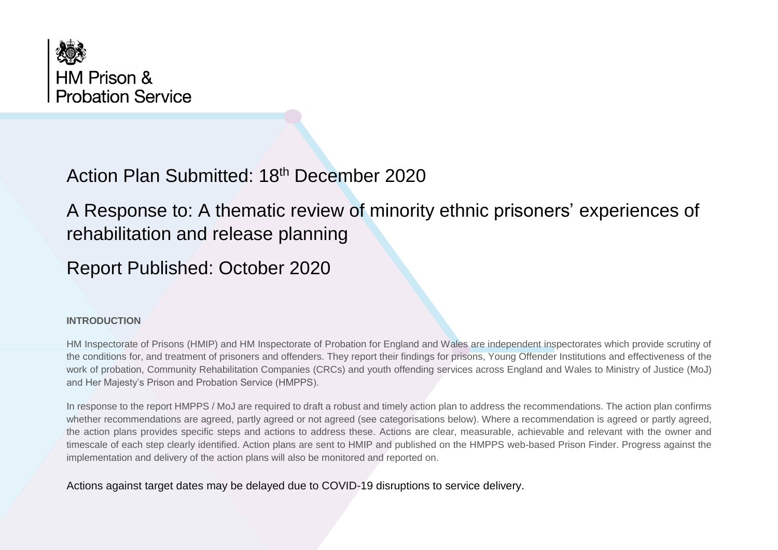

## Action Plan Submitted: 18th December 2020

A Response to: A thematic review of minority ethnic prisoners' experiences of rehabilitation and release planning

Report Published: October 2020

## **INTRODUCTION**

HM Inspectorate of Prisons (HMIP) and HM Inspectorate of Probation for England and Wales are independent inspectorates which provide scrutiny of the conditions for, and treatment of prisoners and offenders. They report their findings for prisons, Young Offender Institutions and effectiveness of the work of probation, Community Rehabilitation Companies (CRCs) and youth offending services across England and Wales to Ministry of Justice (MoJ) and Her Majesty's Prison and Probation Service (HMPPS).

In response to the report HMPPS / MoJ are required to draft a robust and timely action plan to address the recommendations. The action plan confirms whether recommendations are agreed, partly agreed or not agreed (see categorisations below). Where a recommendation is agreed or partly agreed, the action plans provides specific steps and actions to address these. Actions are clear, measurable, achievable and relevant with the owner and timescale of each step clearly identified. Action plans are sent to HMIP and published on the HMPPS web-based Prison Finder. Progress against the implementation and delivery of the action plans will also be monitored and reported on.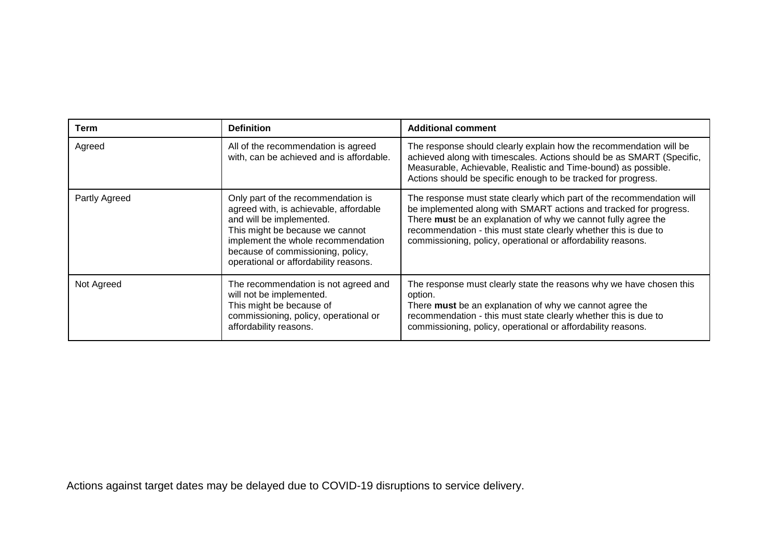| Term          | <b>Definition</b>                                                                                                                                                                                                                                               | <b>Additional comment</b>                                                                                                                                                                                                                                                                                                                      |
|---------------|-----------------------------------------------------------------------------------------------------------------------------------------------------------------------------------------------------------------------------------------------------------------|------------------------------------------------------------------------------------------------------------------------------------------------------------------------------------------------------------------------------------------------------------------------------------------------------------------------------------------------|
| Agreed        | All of the recommendation is agreed<br>with, can be achieved and is affordable.                                                                                                                                                                                 | The response should clearly explain how the recommendation will be<br>achieved along with timescales. Actions should be as SMART (Specific,<br>Measurable, Achievable, Realistic and Time-bound) as possible.<br>Actions should be specific enough to be tracked for progress.                                                                 |
| Partly Agreed | Only part of the recommendation is<br>agreed with, is achievable, affordable<br>and will be implemented.<br>This might be because we cannot<br>implement the whole recommendation<br>because of commissioning, policy,<br>operational or affordability reasons. | The response must state clearly which part of the recommendation will<br>be implemented along with SMART actions and tracked for progress.<br>There must be an explanation of why we cannot fully agree the<br>recommendation - this must state clearly whether this is due to<br>commissioning, policy, operational or affordability reasons. |
| Not Agreed    | The recommendation is not agreed and<br>will not be implemented.<br>This might be because of<br>commissioning, policy, operational or<br>affordability reasons.                                                                                                 | The response must clearly state the reasons why we have chosen this<br>option.<br>There must be an explanation of why we cannot agree the<br>recommendation - this must state clearly whether this is due to<br>commissioning, policy, operational or affordability reasons.                                                                   |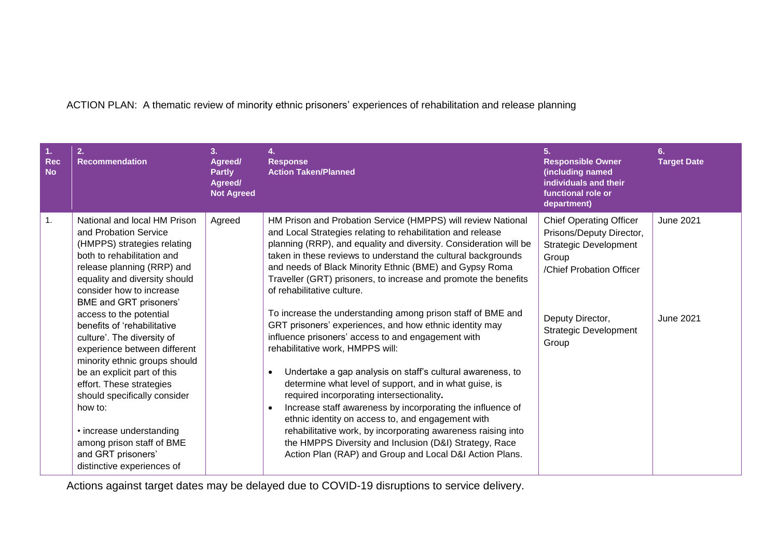## ACTION PLAN: A thematic review of minority ethnic prisoners' experiences of rehabilitation and release planning

| <b>Rec</b><br><b>No</b> | 2.<br>Recommendation                                                                                                                                                                                                                    | 3.<br>Agreed/<br><b>Partly</b><br>Agreed/<br><b>Not Agreed</b> | 4.<br><b>Response</b><br><b>Action Taken/Planned</b>                                                                                                                                                                                                                                                                                                                                                                                                                                                | 5.<br><b>Responsible Owner</b><br>(including named<br>individuals and their<br>functional role or<br>department)                | 6.<br><b>Target Date</b> |
|-------------------------|-----------------------------------------------------------------------------------------------------------------------------------------------------------------------------------------------------------------------------------------|----------------------------------------------------------------|-----------------------------------------------------------------------------------------------------------------------------------------------------------------------------------------------------------------------------------------------------------------------------------------------------------------------------------------------------------------------------------------------------------------------------------------------------------------------------------------------------|---------------------------------------------------------------------------------------------------------------------------------|--------------------------|
| 1.                      | National and local HM Prison<br>and Probation Service<br>(HMPPS) strategies relating<br>both to rehabilitation and<br>release planning (RRP) and<br>equality and diversity should<br>consider how to increase<br>BME and GRT prisoners' | Agreed                                                         | HM Prison and Probation Service (HMPPS) will review National<br>and Local Strategies relating to rehabilitation and release<br>planning (RRP), and equality and diversity. Consideration will be<br>taken in these reviews to understand the cultural backgrounds<br>and needs of Black Minority Ethnic (BME) and Gypsy Roma<br>Traveller (GRT) prisoners, to increase and promote the benefits<br>of rehabilitative culture.                                                                       | <b>Chief Operating Officer</b><br>Prisons/Deputy Director,<br><b>Strategic Development</b><br>Group<br>/Chief Probation Officer | <b>June 2021</b>         |
|                         | access to the potential<br>benefits of 'rehabilitative<br>culture'. The diversity of<br>experience between different<br>minority ethnic groups should                                                                                   |                                                                | To increase the understanding among prison staff of BME and<br>GRT prisoners' experiences, and how ethnic identity may<br>influence prisoners' access to and engagement with<br>rehabilitative work, HMPPS will:                                                                                                                                                                                                                                                                                    | Deputy Director,<br><b>Strategic Development</b><br>Group                                                                       | <b>June 2021</b>         |
|                         | be an explicit part of this<br>effort. These strategies<br>should specifically consider<br>how to:<br>• increase understanding<br>among prison staff of BME<br>and GRT prisoners'<br>distinctive experiences of                         |                                                                | Undertake a gap analysis on staff's cultural awareness, to<br>$\bullet$<br>determine what level of support, and in what guise, is<br>required incorporating intersectionality.<br>Increase staff awareness by incorporating the influence of<br>$\bullet$<br>ethnic identity on access to, and engagement with<br>rehabilitative work, by incorporating awareness raising into<br>the HMPPS Diversity and Inclusion (D&I) Strategy, Race<br>Action Plan (RAP) and Group and Local D&I Action Plans. |                                                                                                                                 |                          |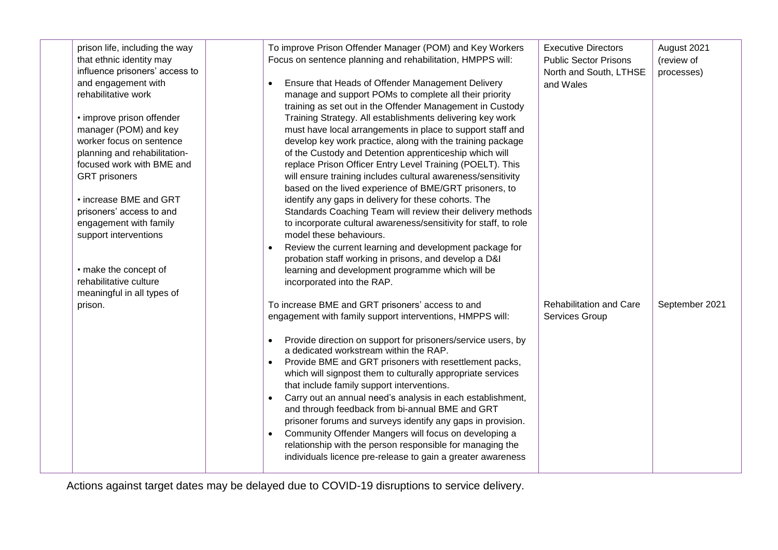| prison life, including the way<br>that ethnic identity may<br>influence prisoners' access to<br>and engagement with<br>rehabilitative work<br>• improve prison offender<br>manager (POM) and key<br>worker focus on sentence<br>planning and rehabilitation-<br>focused work with BME and<br><b>GRT</b> prisoners<br>• increase BME and GRT<br>prisoners' access to and<br>engagement with family<br>support interventions<br>• make the concept of<br>rehabilitative culture<br>meaningful in all types of | $\bullet$              | To improve Prison Offender Manager (POM) and Key Workers<br>Focus on sentence planning and rehabilitation, HMPPS will:<br>Ensure that Heads of Offender Management Delivery<br>manage and support POMs to complete all their priority<br>training as set out in the Offender Management in Custody<br>Training Strategy. All establishments delivering key work<br>must have local arrangements in place to support staff and<br>develop key work practice, along with the training package<br>of the Custody and Detention apprenticeship which will<br>replace Prison Officer Entry Level Training (POELT). This<br>will ensure training includes cultural awareness/sensitivity<br>based on the lived experience of BME/GRT prisoners, to<br>identify any gaps in delivery for these cohorts. The<br>Standards Coaching Team will review their delivery methods<br>to incorporate cultural awareness/sensitivity for staff, to role<br>model these behaviours.<br>Review the current learning and development package for<br>probation staff working in prisons, and develop a D&I<br>learning and development programme which will be<br>incorporated into the RAP. | <b>Executive Directors</b><br><b>Public Sector Prisons</b><br>North and South, LTHSE<br>and Wales | August 2021<br>(review of<br>processes) |
|-------------------------------------------------------------------------------------------------------------------------------------------------------------------------------------------------------------------------------------------------------------------------------------------------------------------------------------------------------------------------------------------------------------------------------------------------------------------------------------------------------------|------------------------|-------------------------------------------------------------------------------------------------------------------------------------------------------------------------------------------------------------------------------------------------------------------------------------------------------------------------------------------------------------------------------------------------------------------------------------------------------------------------------------------------------------------------------------------------------------------------------------------------------------------------------------------------------------------------------------------------------------------------------------------------------------------------------------------------------------------------------------------------------------------------------------------------------------------------------------------------------------------------------------------------------------------------------------------------------------------------------------------------------------------------------------------------------------------------|---------------------------------------------------------------------------------------------------|-----------------------------------------|
| prison.                                                                                                                                                                                                                                                                                                                                                                                                                                                                                                     | $\bullet$<br>$\bullet$ | To increase BME and GRT prisoners' access to and<br>engagement with family support interventions, HMPPS will:<br>Provide direction on support for prisoners/service users, by<br>a dedicated workstream within the RAP.<br>Provide BME and GRT prisoners with resettlement packs,<br>which will signpost them to culturally appropriate services<br>that include family support interventions.<br>Carry out an annual need's analysis in each establishment,<br>and through feedback from bi-annual BME and GRT<br>prisoner forums and surveys identify any gaps in provision.<br>Community Offender Mangers will focus on developing a<br>relationship with the person responsible for managing the<br>individuals licence pre-release to gain a greater awareness                                                                                                                                                                                                                                                                                                                                                                                                     | <b>Rehabilitation and Care</b><br>Services Group                                                  | September 2021                          |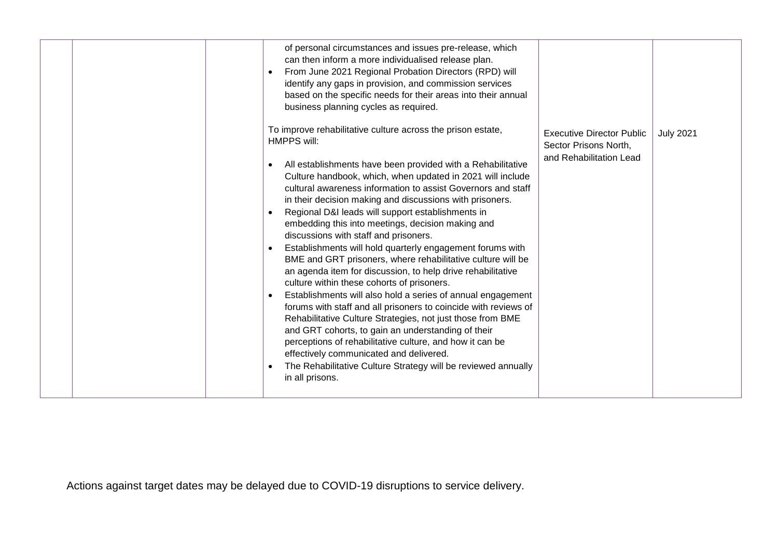|  | of personal circumstances and issues pre-release, which<br>can then inform a more individualised release plan.<br>From June 2021 Regional Probation Directors (RPD) will<br>identify any gaps in provision, and commission services<br>based on the specific needs for their areas into their annual<br>business planning cycles as required.<br>To improve rehabilitative culture across the prison estate,<br>HMPPS will:<br>All establishments have been provided with a Rehabilitative<br>Culture handbook, which, when updated in 2021 will include<br>cultural awareness information to assist Governors and staff<br>in their decision making and discussions with prisoners.<br>Regional D&I leads will support establishments in<br>embedding this into meetings, decision making and<br>discussions with staff and prisoners.<br>Establishments will hold quarterly engagement forums with<br>BME and GRT prisoners, where rehabilitative culture will be<br>an agenda item for discussion, to help drive rehabilitative<br>culture within these cohorts of prisoners.<br>Establishments will also hold a series of annual engagement<br>forums with staff and all prisoners to coincide with reviews of<br>Rehabilitative Culture Strategies, not just those from BME<br>and GRT cohorts, to gain an understanding of their<br>perceptions of rehabilitative culture, and how it can be<br>effectively communicated and delivered.<br>The Rehabilitative Culture Strategy will be reviewed annually<br>in all prisons. | <b>Executive Director Public</b><br>Sector Prisons North,<br>and Rehabilitation Lead | <b>July 2021</b> |
|--|-----------------------------------------------------------------------------------------------------------------------------------------------------------------------------------------------------------------------------------------------------------------------------------------------------------------------------------------------------------------------------------------------------------------------------------------------------------------------------------------------------------------------------------------------------------------------------------------------------------------------------------------------------------------------------------------------------------------------------------------------------------------------------------------------------------------------------------------------------------------------------------------------------------------------------------------------------------------------------------------------------------------------------------------------------------------------------------------------------------------------------------------------------------------------------------------------------------------------------------------------------------------------------------------------------------------------------------------------------------------------------------------------------------------------------------------------------------------------------------------------------------------------------------|--------------------------------------------------------------------------------------|------------------|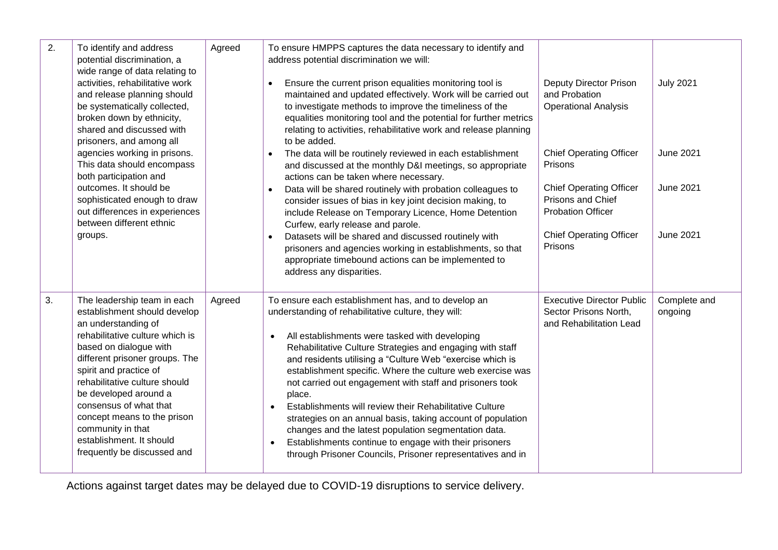| 2. | To identify and address<br>potential discrimination, a<br>wide range of data relating to<br>activities, rehabilitative work<br>and release planning should<br>be systematically collected,<br>broken down by ethnicity,<br>shared and discussed with<br>prisoners, and among all<br>agencies working in prisons.<br>This data should encompass<br>both participation and<br>outcomes. It should be<br>sophisticated enough to draw<br>out differences in experiences<br>between different ethnic<br>groups. | Agreed | To ensure HMPPS captures the data necessary to identify and<br>address potential discrimination we will:<br>Ensure the current prison equalities monitoring tool is<br>$\bullet$<br>maintained and updated effectively. Work will be carried out<br>to investigate methods to improve the timeliness of the<br>equalities monitoring tool and the potential for further metrics<br>relating to activities, rehabilitative work and release planning<br>to be added.<br>The data will be routinely reviewed in each establishment<br>and discussed at the monthly D&I meetings, so appropriate<br>actions can be taken where necessary.<br>Data will be shared routinely with probation colleagues to<br>consider issues of bias in key joint decision making, to<br>include Release on Temporary Licence, Home Detention<br>Curfew, early release and parole.<br>Datasets will be shared and discussed routinely with<br>prisoners and agencies working in establishments, so that<br>appropriate timebound actions can be implemented to | <b>Deputy Director Prison</b><br>and Probation<br><b>Operational Analysis</b><br><b>Chief Operating Officer</b><br>Prisons<br><b>Chief Operating Officer</b><br>Prisons and Chief<br><b>Probation Officer</b><br><b>Chief Operating Officer</b><br>Prisons | <b>July 2021</b><br><b>June 2021</b><br><b>June 2021</b><br><b>June 2021</b> |
|----|-------------------------------------------------------------------------------------------------------------------------------------------------------------------------------------------------------------------------------------------------------------------------------------------------------------------------------------------------------------------------------------------------------------------------------------------------------------------------------------------------------------|--------|-------------------------------------------------------------------------------------------------------------------------------------------------------------------------------------------------------------------------------------------------------------------------------------------------------------------------------------------------------------------------------------------------------------------------------------------------------------------------------------------------------------------------------------------------------------------------------------------------------------------------------------------------------------------------------------------------------------------------------------------------------------------------------------------------------------------------------------------------------------------------------------------------------------------------------------------------------------------------------------------------------------------------------------------|------------------------------------------------------------------------------------------------------------------------------------------------------------------------------------------------------------------------------------------------------------|------------------------------------------------------------------------------|
| 3. | The leadership team in each<br>establishment should develop<br>an understanding of<br>rehabilitative culture which is<br>based on dialogue with<br>different prisoner groups. The<br>spirit and practice of<br>rehabilitative culture should<br>be developed around a<br>consensus of what that<br>concept means to the prison<br>community in that<br>establishment. It should<br>frequently be discussed and                                                                                              | Agreed | address any disparities.<br>To ensure each establishment has, and to develop an<br>understanding of rehabilitative culture, they will:<br>All establishments were tasked with developing<br>Rehabilitative Culture Strategies and engaging with staff<br>and residents utilising a "Culture Web "exercise which is<br>establishment specific. Where the culture web exercise was<br>not carried out engagement with staff and prisoners took<br>place.<br>Establishments will review their Rehabilitative Culture<br>strategies on an annual basis, taking account of population<br>changes and the latest population segmentation data.<br>Establishments continue to engage with their prisoners<br>through Prisoner Councils, Prisoner representatives and in                                                                                                                                                                                                                                                                          | <b>Executive Director Public</b><br>Sector Prisons North,<br>and Rehabilitation Lead                                                                                                                                                                       | Complete and<br>ongoing                                                      |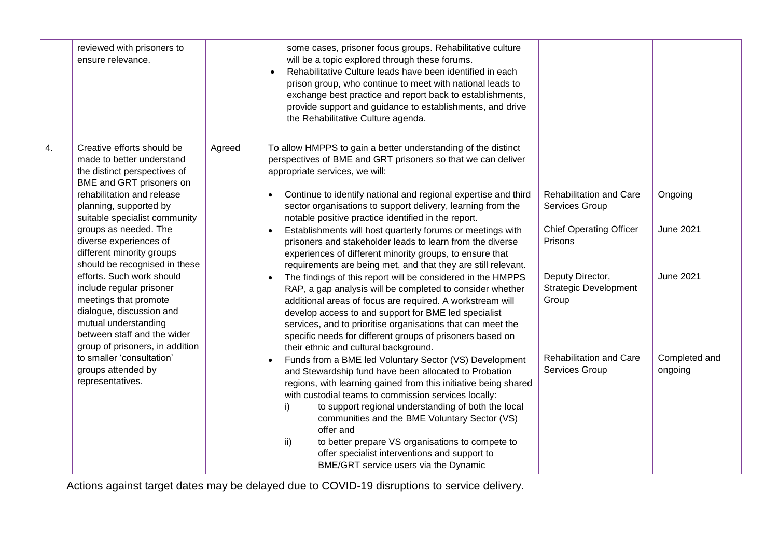|    | reviewed with prisoners to<br>ensure relevance.                                                                                                                                                      |        | some cases, prisoner focus groups. Rehabilitative culture<br>will be a topic explored through these forums.<br>Rehabilitative Culture leads have been identified in each<br>$\bullet$<br>prison group, who continue to meet with national leads to<br>exchange best practice and report back to establishments,<br>provide support and guidance to establishments, and drive<br>the Rehabilitative Culture agenda.                                                                                                                      |                                                           |                          |
|----|------------------------------------------------------------------------------------------------------------------------------------------------------------------------------------------------------|--------|-----------------------------------------------------------------------------------------------------------------------------------------------------------------------------------------------------------------------------------------------------------------------------------------------------------------------------------------------------------------------------------------------------------------------------------------------------------------------------------------------------------------------------------------|-----------------------------------------------------------|--------------------------|
| 4. | Creative efforts should be<br>made to better understand<br>the distinct perspectives of<br>BME and GRT prisoners on<br>rehabilitation and release<br>planning, supported by                          | Agreed | To allow HMPPS to gain a better understanding of the distinct<br>perspectives of BME and GRT prisoners so that we can deliver<br>appropriate services, we will:<br>Continue to identify national and regional expertise and third<br>$\bullet$<br>sector organisations to support delivery, learning from the                                                                                                                                                                                                                           | <b>Rehabilitation and Care</b><br>Services Group          | Ongoing                  |
|    | suitable specialist community<br>groups as needed. The<br>diverse experiences of<br>different minority groups<br>should be recognised in these                                                       |        | notable positive practice identified in the report.<br>Establishments will host quarterly forums or meetings with<br>$\bullet$<br>prisoners and stakeholder leads to learn from the diverse<br>experiences of different minority groups, to ensure that<br>requirements are being met, and that they are still relevant.                                                                                                                                                                                                                | <b>Chief Operating Officer</b><br>Prisons                 | <b>June 2021</b>         |
|    | efforts. Such work should<br>include regular prisoner<br>meetings that promote<br>dialogue, discussion and<br>mutual understanding<br>between staff and the wider<br>group of prisoners, in addition |        | The findings of this report will be considered in the HMPPS<br>$\bullet$<br>RAP, a gap analysis will be completed to consider whether<br>additional areas of focus are required. A workstream will<br>develop access to and support for BME led specialist<br>services, and to prioritise organisations that can meet the<br>specific needs for different groups of prisoners based on<br>their ethnic and cultural background.                                                                                                         | Deputy Director,<br><b>Strategic Development</b><br>Group | <b>June 2021</b>         |
|    | to smaller 'consultation'<br>groups attended by<br>representatives.                                                                                                                                  |        | Funds from a BME led Voluntary Sector (VS) Development<br>$\bullet$<br>and Stewardship fund have been allocated to Probation<br>regions, with learning gained from this initiative being shared<br>with custodial teams to commission services locally:<br>to support regional understanding of both the local<br>i)<br>communities and the BME Voluntary Sector (VS)<br>offer and<br>to better prepare VS organisations to compete to<br>ii)<br>offer specialist interventions and support to<br>BME/GRT service users via the Dynamic | <b>Rehabilitation and Care</b><br>Services Group          | Completed and<br>ongoing |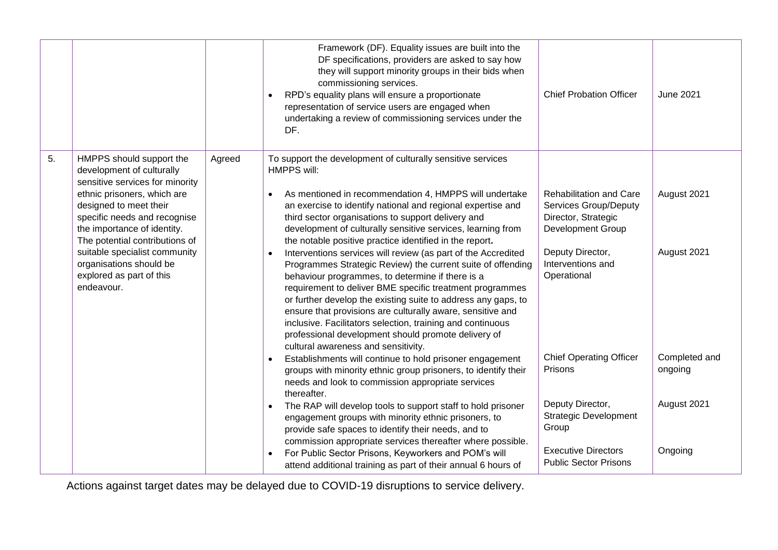|    |                                                                                                                                                                                                                  |        | Framework (DF). Equality issues are built into the<br>DF specifications, providers are asked to say how<br>they will support minority groups in their bids when<br>commissioning services.<br>RPD's equality plans will ensure a proportionate<br>representation of service users are engaged when<br>undertaking a review of commissioning services under the<br>DF.                                                                                                                                                                                                                              | <b>Chief Probation Officer</b>                                                                             | <b>June 2021</b>         |
|----|------------------------------------------------------------------------------------------------------------------------------------------------------------------------------------------------------------------|--------|----------------------------------------------------------------------------------------------------------------------------------------------------------------------------------------------------------------------------------------------------------------------------------------------------------------------------------------------------------------------------------------------------------------------------------------------------------------------------------------------------------------------------------------------------------------------------------------------------|------------------------------------------------------------------------------------------------------------|--------------------------|
| 5. | HMPPS should support the<br>development of culturally<br>sensitive services for minority<br>ethnic prisoners, which are<br>designed to meet their<br>specific needs and recognise<br>the importance of identity. | Agreed | To support the development of culturally sensitive services<br><b>HMPPS will:</b><br>As mentioned in recommendation 4, HMPPS will undertake<br>an exercise to identify national and regional expertise and<br>third sector organisations to support delivery and<br>development of culturally sensitive services, learning from                                                                                                                                                                                                                                                                    | <b>Rehabilitation and Care</b><br><b>Services Group/Deputy</b><br>Director, Strategic<br>Development Group | August 2021              |
|    | The potential contributions of<br>suitable specialist community<br>organisations should be<br>explored as part of this<br>endeavour.                                                                             |        | the notable positive practice identified in the report.<br>Interventions services will review (as part of the Accredited<br>Programmes Strategic Review) the current suite of offending<br>behaviour programmes, to determine if there is a<br>requirement to deliver BME specific treatment programmes<br>or further develop the existing suite to address any gaps, to<br>ensure that provisions are culturally aware, sensitive and<br>inclusive. Facilitators selection, training and continuous<br>professional development should promote delivery of<br>cultural awareness and sensitivity. | Deputy Director,<br>Interventions and<br>Operational                                                       | August 2021              |
|    |                                                                                                                                                                                                                  |        | Establishments will continue to hold prisoner engagement<br>groups with minority ethnic group prisoners, to identify their<br>needs and look to commission appropriate services<br>thereafter.                                                                                                                                                                                                                                                                                                                                                                                                     | <b>Chief Operating Officer</b><br>Prisons                                                                  | Completed and<br>ongoing |
|    |                                                                                                                                                                                                                  |        | The RAP will develop tools to support staff to hold prisoner<br>engagement groups with minority ethnic prisoners, to<br>provide safe spaces to identify their needs, and to<br>commission appropriate services thereafter where possible.                                                                                                                                                                                                                                                                                                                                                          | Deputy Director,<br><b>Strategic Development</b><br>Group                                                  | August 2021              |
|    |                                                                                                                                                                                                                  |        | For Public Sector Prisons, Keyworkers and POM's will<br>attend additional training as part of their annual 6 hours of                                                                                                                                                                                                                                                                                                                                                                                                                                                                              | <b>Executive Directors</b><br><b>Public Sector Prisons</b>                                                 | Ongoing                  |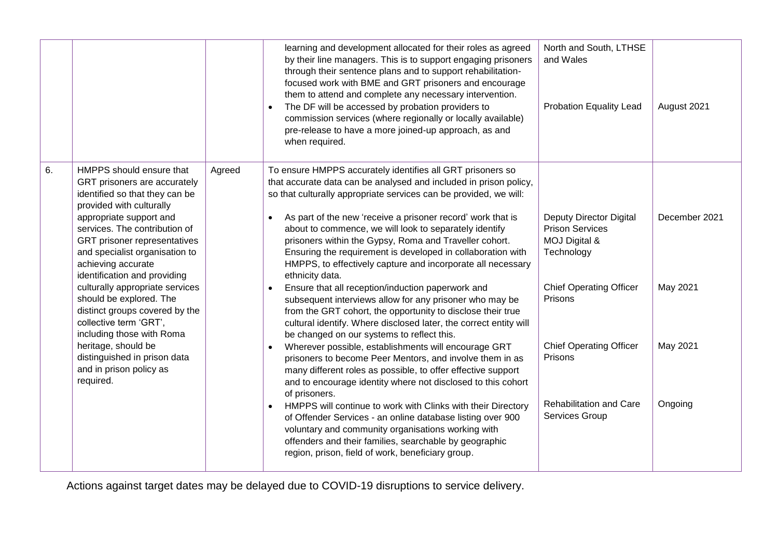|    |                                                                                                                                                                                                                                                                                                                                                                                                                                                                                          |        | learning and development allocated for their roles as agreed<br>by their line managers. This is to support engaging prisoners<br>through their sentence plans and to support rehabilitation-<br>focused work with BME and GRT prisoners and encourage<br>them to attend and complete any necessary intervention.<br>The DF will be accessed by probation providers to<br>commission services (where regionally or locally available)<br>pre-release to have a more joined-up approach, as and<br>when required.                                                                                                                                                                                                                                                                                                                                                                                                              | North and South, LTHSE<br>and Wales<br><b>Probation Equality Lead</b>                                                                                                  | August 2021                           |
|----|------------------------------------------------------------------------------------------------------------------------------------------------------------------------------------------------------------------------------------------------------------------------------------------------------------------------------------------------------------------------------------------------------------------------------------------------------------------------------------------|--------|------------------------------------------------------------------------------------------------------------------------------------------------------------------------------------------------------------------------------------------------------------------------------------------------------------------------------------------------------------------------------------------------------------------------------------------------------------------------------------------------------------------------------------------------------------------------------------------------------------------------------------------------------------------------------------------------------------------------------------------------------------------------------------------------------------------------------------------------------------------------------------------------------------------------------|------------------------------------------------------------------------------------------------------------------------------------------------------------------------|---------------------------------------|
| 6. | HMPPS should ensure that<br>GRT prisoners are accurately<br>identified so that they can be<br>provided with culturally<br>appropriate support and<br>services. The contribution of<br>GRT prisoner representatives<br>and specialist organisation to<br>achieving accurate<br>identification and providing<br>culturally appropriate services<br>should be explored. The<br>distinct groups covered by the<br>collective term 'GRT',<br>including those with Roma<br>heritage, should be | Agreed | To ensure HMPPS accurately identifies all GRT prisoners so<br>that accurate data can be analysed and included in prison policy,<br>so that culturally appropriate services can be provided, we will:<br>As part of the new 'receive a prisoner record' work that is<br>about to commence, we will look to separately identify<br>prisoners within the Gypsy, Roma and Traveller cohort.<br>Ensuring the requirement is developed in collaboration with<br>HMPPS, to effectively capture and incorporate all necessary<br>ethnicity data.<br>Ensure that all reception/induction paperwork and<br>$\bullet$<br>subsequent interviews allow for any prisoner who may be<br>from the GRT cohort, the opportunity to disclose their true<br>cultural identify. Where disclosed later, the correct entity will<br>be changed on our systems to reflect this.<br>Wherever possible, establishments will encourage GRT<br>$\bullet$ | <b>Deputy Director Digital</b><br><b>Prison Services</b><br>MOJ Digital &<br>Technology<br><b>Chief Operating Officer</b><br>Prisons<br><b>Chief Operating Officer</b> | December 2021<br>May 2021<br>May 2021 |
|    | distinguished in prison data<br>and in prison policy as<br>required.                                                                                                                                                                                                                                                                                                                                                                                                                     |        | prisoners to become Peer Mentors, and involve them in as<br>many different roles as possible, to offer effective support<br>and to encourage identity where not disclosed to this cohort<br>of prisoners.<br>HMPPS will continue to work with Clinks with their Directory<br>$\bullet$<br>of Offender Services - an online database listing over 900<br>voluntary and community organisations working with<br>offenders and their families, searchable by geographic<br>region, prison, field of work, beneficiary group.                                                                                                                                                                                                                                                                                                                                                                                                    | Prisons<br>Rehabilitation and Care<br>Services Group                                                                                                                   | Ongoing                               |